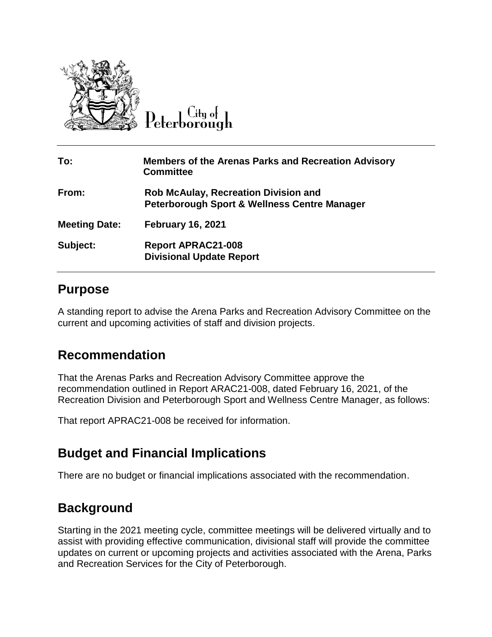

City of

| To:                  | <b>Members of the Arenas Parks and Recreation Advisory</b><br><b>Committee</b>                         |
|----------------------|--------------------------------------------------------------------------------------------------------|
| From:                | <b>Rob McAulay, Recreation Division and</b><br><b>Peterborough Sport &amp; Wellness Centre Manager</b> |
| <b>Meeting Date:</b> | <b>February 16, 2021</b>                                                                               |
| Subject:             | <b>Report APRAC21-008</b><br><b>Divisional Update Report</b>                                           |

# **Purpose**

A standing report to advise the Arena Parks and Recreation Advisory Committee on the current and upcoming activities of staff and division projects.

# **Recommendation**

That the Arenas Parks and Recreation Advisory Committee approve the recommendation outlined in Report ARAC21-008, dated February 16, 2021, of the Recreation Division and Peterborough Sport and Wellness Centre Manager, as follows:

That report APRAC21-008 be received for information.

# **Budget and Financial Implications**

There are no budget or financial implications associated with the recommendation.

# **Background**

Starting in the 2021 meeting cycle, committee meetings will be delivered virtually and to assist with providing effective communication, divisional staff will provide the committee updates on current or upcoming projects and activities associated with the Arena, Parks and Recreation Services for the City of Peterborough.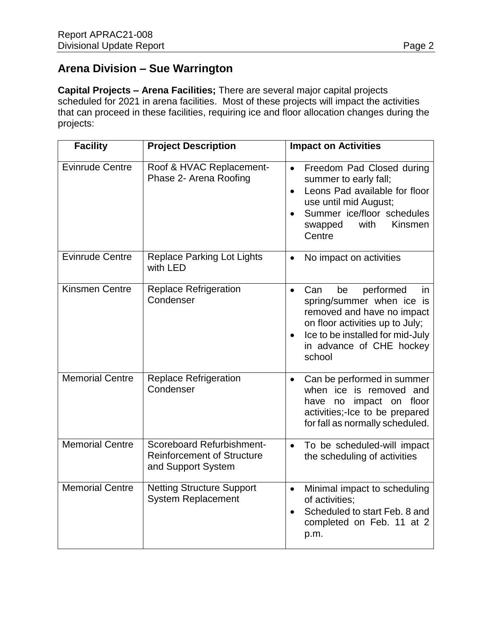# **Arena Division – Sue Warrington**

**Capital Projects – Arena Facilities;** There are several major capital projects scheduled for 2021 in arena facilities. Most of these projects will impact the activities that can proceed in these facilities, requiring ice and floor allocation changes during the projects:

| <b>Facility</b>        | <b>Project Description</b>                                                           | <b>Impact on Activities</b>                                                                                                                                                                                                    |
|------------------------|--------------------------------------------------------------------------------------|--------------------------------------------------------------------------------------------------------------------------------------------------------------------------------------------------------------------------------|
| <b>Evinrude Centre</b> | Roof & HVAC Replacement-<br>Phase 2- Arena Roofing                                   | Freedom Pad Closed during<br>$\bullet$<br>summer to early fall;<br>Leons Pad available for floor<br>$\bullet$<br>use until mid August;<br>Summer ice/floor schedules<br>$\bullet$<br>with<br>Kinsmen<br>swapped<br>Centre      |
| <b>Evinrude Centre</b> | <b>Replace Parking Lot Lights</b><br>with LED                                        | No impact on activities<br>$\bullet$                                                                                                                                                                                           |
| <b>Kinsmen Centre</b>  | <b>Replace Refrigeration</b><br>Condenser                                            | performed<br>Can<br>be<br>$\bullet$<br>in<br>spring/summer when ice is<br>removed and have no impact<br>on floor activities up to July;<br>Ice to be installed for mid-July<br>$\bullet$<br>in advance of CHE hockey<br>school |
| <b>Memorial Centre</b> | <b>Replace Refrigeration</b><br>Condenser                                            | Can be performed in summer<br>$\bullet$<br>when ice is removed and<br>impact on floor<br>have<br>no<br>activities;-Ice to be prepared<br>for fall as normally scheduled.                                                       |
| <b>Memorial Centre</b> | Scoreboard Refurbishment-<br><b>Reinforcement of Structure</b><br>and Support System | To be scheduled-will impact<br>$\bullet$<br>the scheduling of activities                                                                                                                                                       |
| <b>Memorial Centre</b> | <b>Netting Structure Support</b><br><b>System Replacement</b>                        | Minimal impact to scheduling<br>$\bullet$<br>of activities;<br>Scheduled to start Feb. 8 and<br>$\bullet$<br>completed on Feb. 11 at 2<br>p.m.                                                                                 |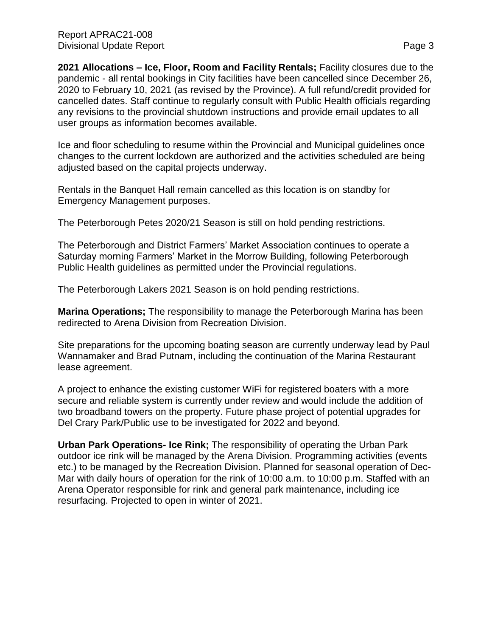**2021 Allocations – Ice, Floor, Room and Facility Rentals;** Facility closures due to the pandemic - all rental bookings in City facilities have been cancelled since December 26, 2020 to February 10, 2021 (as revised by the Province). A full refund/credit provided for cancelled dates. Staff continue to regularly consult with Public Health officials regarding any revisions to the provincial shutdown instructions and provide email updates to all user groups as information becomes available.

Ice and floor scheduling to resume within the Provincial and Municipal guidelines once changes to the current lockdown are authorized and the activities scheduled are being adjusted based on the capital projects underway.

Rentals in the Banquet Hall remain cancelled as this location is on standby for Emergency Management purposes.

The Peterborough Petes 2020/21 Season is still on hold pending restrictions.

The Peterborough and District Farmers' Market Association continues to operate a Saturday morning Farmers' Market in the Morrow Building, following Peterborough Public Health guidelines as permitted under the Provincial regulations.

The Peterborough Lakers 2021 Season is on hold pending restrictions.

**Marina Operations;** The responsibility to manage the Peterborough Marina has been redirected to Arena Division from Recreation Division.

Site preparations for the upcoming boating season are currently underway lead by Paul Wannamaker and Brad Putnam, including the continuation of the Marina Restaurant lease agreement.

A project to enhance the existing customer WiFi for registered boaters with a more secure and reliable system is currently under review and would include the addition of two broadband towers on the property. Future phase project of potential upgrades for Del Crary Park/Public use to be investigated for 2022 and beyond.

**Urban Park Operations- Ice Rink;** The responsibility of operating the Urban Park outdoor ice rink will be managed by the Arena Division. Programming activities (events etc.) to be managed by the Recreation Division. Planned for seasonal operation of Dec-Mar with daily hours of operation for the rink of 10:00 a.m. to 10:00 p.m. Staffed with an Arena Operator responsible for rink and general park maintenance, including ice resurfacing. Projected to open in winter of 2021.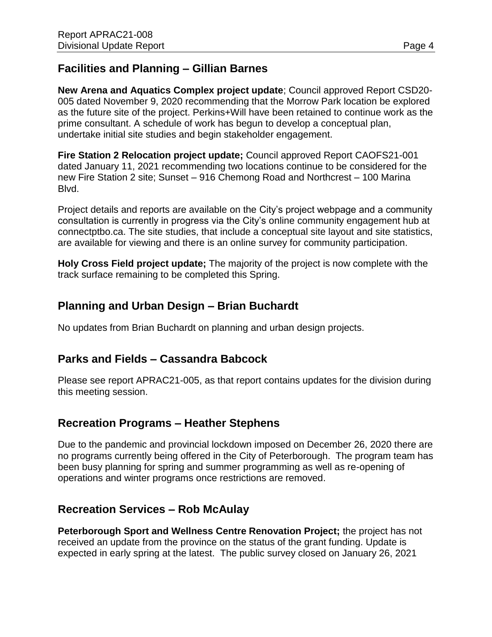### **Facilities and Planning – Gillian Barnes**

**New Arena and Aquatics Complex project update**; Council approved Report CSD20- 005 dated November 9, 2020 recommending that the Morrow Park location be explored as the future site of the project. Perkins+Will have been retained to continue work as the prime consultant. A schedule of work has begun to develop a conceptual plan, undertake initial site studies and begin stakeholder engagement.

**Fire Station 2 Relocation project update;** Council approved Report CAOFS21-001 dated January 11, 2021 recommending two locations continue to be considered for the new Fire Station 2 site; Sunset – 916 Chemong Road and Northcrest – 100 Marina Blvd.

Project details and reports are available on the City's project webpage and a community consultation is currently in progress via the City's online community engagement hub at connectptbo.ca. The site studies, that include a conceptual site layout and site statistics, are available for viewing and there is an online survey for community participation.

**Holy Cross Field project update;** The majority of the project is now complete with the track surface remaining to be completed this Spring.

### **Planning and Urban Design – Brian Buchardt**

No updates from Brian Buchardt on planning and urban design projects.

### **Parks and Fields – Cassandra Babcock**

Please see report APRAC21-005, as that report contains updates for the division during this meeting session.

### **Recreation Programs – Heather Stephens**

Due to the pandemic and provincial lockdown imposed on December 26, 2020 there are no programs currently being offered in the City of Peterborough. The program team has been busy planning for spring and summer programming as well as re-opening of operations and winter programs once restrictions are removed.

### **Recreation Services – Rob McAulay**

**Peterborough Sport and Wellness Centre Renovation Project;** the project has not received an update from the province on the status of the grant funding. Update is expected in early spring at the latest. The public survey closed on January 26, 2021